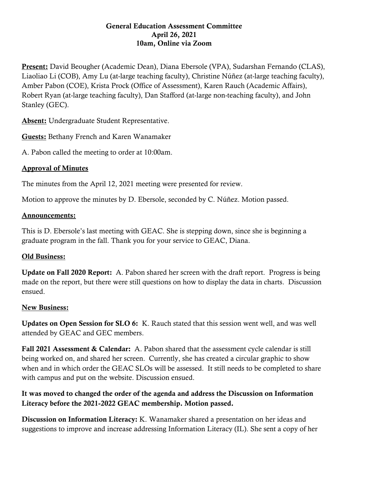#### General Education Assessment Committee April 26, 2021 10am, Online via Zoom

Present: David Beougher (Academic Dean), Diana Ebersole (VPA), Sudarshan Fernando (CLAS), Liaoliao Li (COB), Amy Lu (at-large teaching faculty), Christine Núñez (at-large teaching faculty), Amber Pabon (COE), Krista Prock (Office of Assessment), Karen Rauch (Academic Affairs), Robert Ryan (at-large teaching faculty), Dan Stafford (at-large non-teaching faculty), and John Stanley (GEC).

Absent: Undergraduate Student Representative.

Guests: Bethany French and Karen Wanamaker

A. Pabon called the meeting to order at 10:00am.

## Approval of Minutes

The minutes from the April 12, 2021 meeting were presented for review.

Motion to approve the minutes by D. Ebersole, seconded by C. Núñez. Motion passed.

## Announcements:

This is D. Ebersole's last meeting with GEAC. She is stepping down, since she is beginning a graduate program in the fall. Thank you for your service to GEAC, Diana.

# Old Business:

Update on Fall 2020 Report: A. Pabon shared her screen with the draft report. Progress is being made on the report, but there were still questions on how to display the data in charts. Discussion ensued.

#### New Business:

Updates on Open Session for SLO 6: K. Rauch stated that this session went well, and was well attended by GEAC and GEC members.

Fall 2021 Assessment & Calendar: A. Pabon shared that the assessment cycle calendar is still being worked on, and shared her screen. Currently, she has created a circular graphic to show when and in which order the GEAC SLOs will be assessed. It still needs to be completed to share with campus and put on the website. Discussion ensued.

# It was moved to changed the order of the agenda and address the Discussion on Information Literacy before the 2021-2022 GEAC membership. Motion passed.

Discussion on Information Literacy: K. Wanamaker shared a presentation on her ideas and suggestions to improve and increase addressing Information Literacy (IL). She sent a copy of her